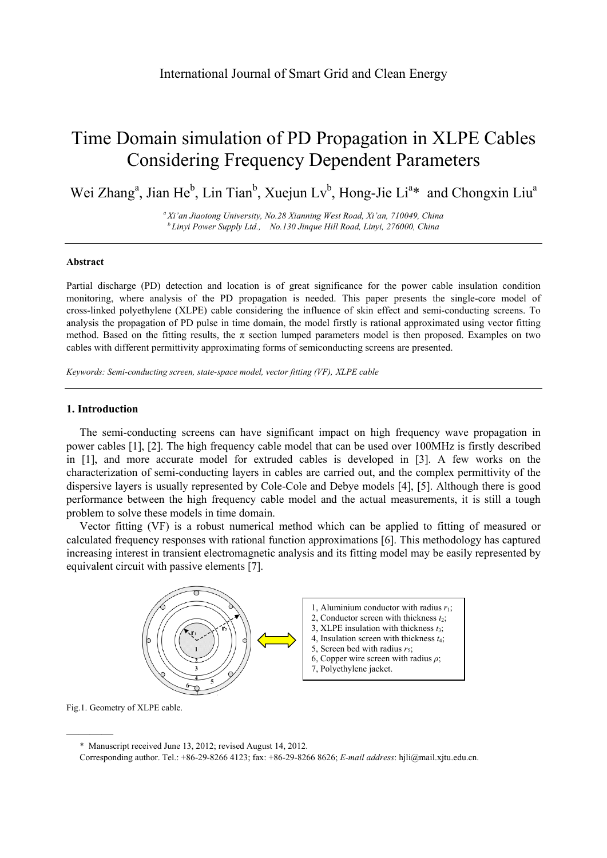# Time Domain simulation of PD Propagation in XLPE Cables Considering Frequency Dependent Parameters

Wei Zhang<sup>a</sup>, Jian He<sup>b</sup>, Lin Tian<sup>b</sup>, Xuejun Lv<sup>b</sup>, Hong-Jie Li<sup>a\*</sup> and Chongxin Liu<sup>a</sup>

*a Xi'an Jiaotong University, No.28 Xianning West Road, Xi'an, 710049, China b Linyi Power Supply Ltd., No.130 Jinque Hill Road, Linyi, 276000, China* 

#### **Abstract**

Partial discharge (PD) detection and location is of great significance for the power cable insulation condition monitoring, where analysis of the PD propagation is needed. This paper presents the single-core model of cross-linked polyethylene (XLPE) cable considering the influence of skin effect and semi-conducting screens. To analysis the propagation of PD pulse in time domain, the model firstly is rational approximated using vector fitting method. Based on the fitting results, the  $\pi$  section lumped parameters model is then proposed. Examples on two cables with different permittivity approximating forms of semiconducting screens are presented.

*Keywords: Semi-conducting screen, state-space model, vector fitting (VF), XLPE cable*

## **1. Introduction**

The semi-conducting screens can have significant impact on high frequency wave propagation in power cables [1], [2]. The high frequency cable model that can be used over 100MHz is firstly described in [1], and more accurate model for extruded cables is developed in [3]. A few works on the characterization of semi-conducting layers in cables are carried out, and the complex permittivity of the dispersive layers is usually represented by Cole-Cole and Debye models [4], [5]. Although there is good performance between the high frequency cable model and the actual measurements, it is still a tough problem to solve these models in time domain.

Vector fitting (VF) is a robust numerical method which can be applied to fitting of measured or calculated frequency responses with rational function approximations [6]. This methodology has captured increasing interest in transient electromagnetic analysis and its fitting model may be easily represented by equivalent circuit with passive elements [7].



Fig.1. Geometry of XLPE cable.

————

<sup>\*</sup> Manuscript received June 13, 2012; revised August 14, 2012.

Corresponding author. Tel.: +86-29-8266 4123; fax: +86-29-8266 8626; *E-mail address*: hjli@mail.xjtu.edu.cn.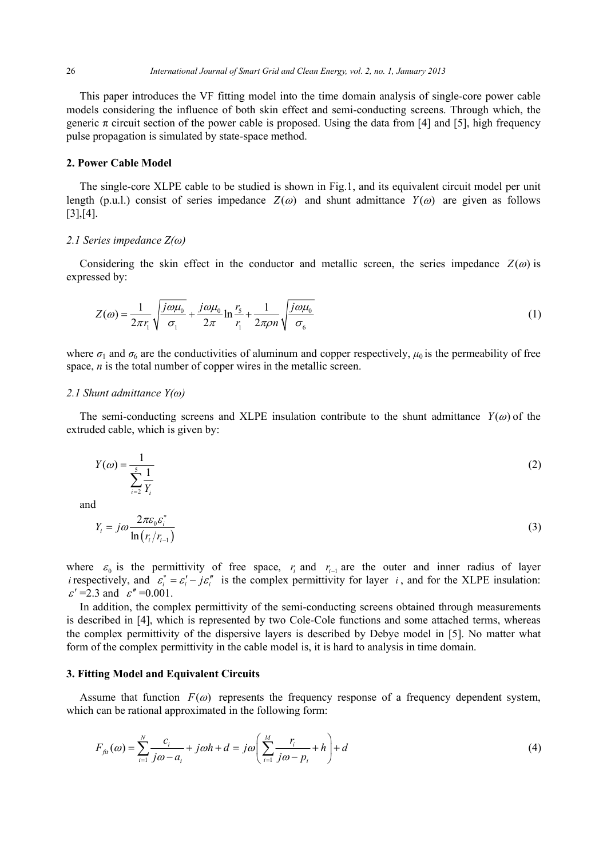This paper introduces the VF fitting model into the time domain analysis of single-core power cable models considering the influence of both skin effect and semi-conducting screens. Through which, the generic  $\pi$  circuit section of the power cable is proposed. Using the data from [4] and [5], high frequency pulse propagation is simulated by state-space method.

### **2. Power Cable Model**

The single-core XLPE cable to be studied is shown in Fig.1, and its equivalent circuit model per unit length (p.u.l.) consist of series impedance  $Z(\omega)$  and shunt admittance  $Y(\omega)$  are given as follows [3],[4].

#### *2.1 Series impedance Z(ω)*

Considering the skin effect in the conductor and metallic screen, the series impedance  $Z(\omega)$  is expressed by:

$$
Z(\omega) = \frac{1}{2\pi r_1} \sqrt{\frac{j\omega\mu_0}{\sigma_1}} + \frac{j\omega\mu_0}{2\pi} \ln\frac{r_5}{r_1} + \frac{1}{2\pi\rho n} \sqrt{\frac{j\omega\mu_0}{\sigma_6}}
$$
(1)

where  $\sigma_1$  and  $\sigma_6$  are the conductivities of aluminum and copper respectively,  $\mu_0$  is the permeability of free space, *n* is the total number of copper wires in the metallic screen.

#### *2.1 Shunt admittance Y(ω)*

The semi-conducting screens and XLPE insulation contribute to the shunt admittance  $Y(\omega)$  of the extruded cable, which is given by:

$$
Y(\omega) = \frac{1}{\sum_{i=2}^{5} \frac{1}{Y_i}}
$$
 (2)

and

$$
Y_i = j\omega \frac{2\pi\varepsilon_0 \varepsilon_i^*}{\ln(r_i/r_{i-1})}
$$
\n(3)

where  $\varepsilon_0$  is the permittivity of free space,  $r_i$  and  $r_{i-1}$  are the outer and inner radius of layer *i* respectively, and  $\varepsilon_i^* = \varepsilon_i' - j\varepsilon_i''$  is the complex permittivity for layer *i*, and for the XLPE insulation:  $\varepsilon'$  =2.3 and  $\varepsilon''$  =0.001.

In addition, the complex permittivity of the semi-conducting screens obtained through measurements is described in [4], which is represented by two Cole-Cole functions and some attached terms, whereas the complex permittivity of the dispersive layers is described by Debye model in [5]. No matter what form of the complex permittivity in the cable model is, it is hard to analysis in time domain.

## **3. Fitting Model and Equivalent Circuits**

Assume that function  $F(\omega)$  represents the frequency response of a frequency dependent system, which can be rational approximated in the following form:

$$
F_{\hat{\mu}}(\omega) = \sum_{i=1}^{N} \frac{c_i}{j\omega - a_i} + j\omega h + d = j\omega \left( \sum_{i=1}^{M} \frac{r_i}{j\omega - p_i} + h \right) + d \tag{4}
$$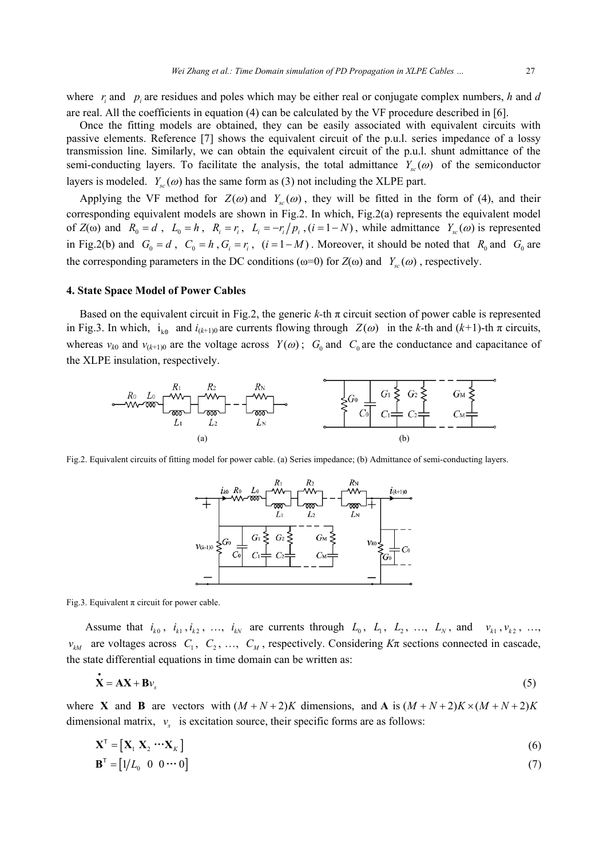where  $r_i$  and  $p_i$  are residues and poles which may be either real or conjugate complex numbers,  $h$  and  $d$ are real. All the coefficients in equation (4) can be calculated by the VF procedure described in [6].

Once the fitting models are obtained, they can be easily associated with equivalent circuits with passive elements. Reference [7] shows the equivalent circuit of the p.u.l. series impedance of a lossy transmission line. Similarly, we can obtain the equivalent circuit of the p.u.l. shunt admittance of the semi-conducting layers. To facilitate the analysis, the total admittance  $Y_{sc}(\omega)$  of the semiconductor layers is modeled.  $Y_s(\omega)$  has the same form as (3) not including the XLPE part.

Applying the VF method for  $Z(\omega)$  and  $Y_{\infty}(\omega)$ , they will be fitted in the form of (4), and their corresponding equivalent models are shown in Fig.2. In which, Fig.2(a) represents the equivalent model of  $Z(\omega)$  and  $R_0 = d$ ,  $L_0 = h$ ,  $R_i = r_i$ ,  $L_i = -r_i/p_i$ ,  $(i = 1 - N)$ , while admittance  $Y_{sc}(\omega)$  is represented in Fig.2(b) and  $G_0 = d$ ,  $C_0 = h$ ,  $G_i = r_i$ ,  $(i = 1-M)$ . Moreover, it should be noted that  $R_0$  and  $G_0$  are the corresponding parameters in the DC conditions ( $\omega=0$ ) for  $Z(\omega)$  and  $Y_{\alpha}(\omega)$ , respectively.

#### **4. State Space Model of Power Cables**

Based on the equivalent circuit in Fig.2, the generic  $k$ -th  $\pi$  circuit section of power cable is represented in Fig.3. In which,  $i_{k0}$  and  $i_{(k+1)0}$  are currents flowing through  $Z(\omega)$  in the *k*-th and  $(k+1)$ -th  $\pi$  circuits, whereas  $v_{k0}$  and  $v_{(k+1)0}$  are the voltage across  $Y(\omega)$ ;  $G_0$  and  $C_0$  are the conductance and capacitance of the XLPE insulation, respectively.



Fig.2. Equivalent circuits of fitting model for power cable. (a) Series impedance; (b) Admittance of semi-conducting layers.



Fig.3. Equivalent  $\pi$  circuit for power cable.

Assume that  $i_{k0}$ ,  $i_{k1}$ ,  $i_{k2}$ , ...,  $i_{kN}$  are currents through  $L_0$ ,  $L_1$ ,  $L_2$ , ...,  $L_N$ , and  $v_{k1}$ ,  $v_{k2}$ , ...,  $v_{kM}$  are voltages across  $C_1$ ,  $C_2$ , ...,  $C_M$ , respectively. Considering  $K\pi$  sections connected in cascade, the state differential equations in time domain can be written as:

$$
\dot{\mathbf{X}} = \mathbf{A}\mathbf{X} + \mathbf{B}\mathbf{v}_s \tag{5}
$$

where **X** and **B** are vectors with  $(M + N + 2)K$  dimensions, and **A** is  $(M + N + 2)K \times (M + N + 2)K$ dimensional matrix,  $v_{\rm s}$  is excitation source, their specific forms are as follows:

$$
\mathbf{X}^{\mathrm{T}} = \left[ \mathbf{X}_1 \ \mathbf{X}_2 \ \cdots \mathbf{X}_K \right] \tag{6}
$$

$$
\mathbf{B}^{\mathrm{T}} = \begin{bmatrix} 1/L_0 & 0 & 0 \cdots 0 \end{bmatrix} \tag{7}
$$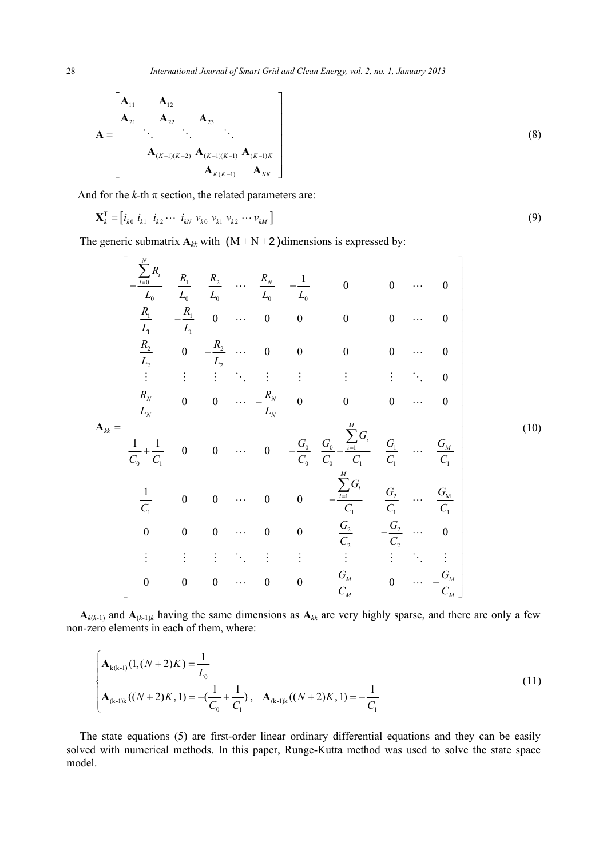$$
\mathbf{A} = \begin{bmatrix} \mathbf{A}_{11} & \mathbf{A}_{12} \\ \mathbf{A}_{21} & \mathbf{A}_{22} & \mathbf{A}_{23} \\ \vdots & \vdots & \ddots \\ \mathbf{A}_{(K-1)(K-2)} & \mathbf{A}_{(K-1)(K-1)} & \mathbf{A}_{(K-1)K} \\ \mathbf{A}_{K(K-1)} & \mathbf{A}_{KK} \end{bmatrix}
$$
(8)

And for the  $k$ -th  $\pi$  section, the related parameters are:

$$
\mathbf{X}_{k}^{\mathrm{T}} = \begin{bmatrix} i_{k0} & i_{k1} & i_{k2} & \cdots & i_{kN} & v_{k0} & v_{k1} & v_{k2} & \cdots & v_{kM} \end{bmatrix}
$$
 (9)

The generic submatrix  $A_{kk}$  with  $(M+N+2)$  dimensions is expressed by:

$$
A_{ik} = \begin{bmatrix} \frac{\sum_{i=0}^{N} R_i}{L_0} & \frac{R_1}{L_0} & \frac{R_2}{L_0} & \cdots & \frac{R_N}{L_0} & -\frac{1}{L_0} & 0 & 0 & \cdots & 0 \\ \frac{R_1}{L_1} & -\frac{R_1}{L_1} & 0 & \cdots & 0 & 0 & 0 & 0 & \cdots & 0 \\ \frac{R_2}{L_2} & 0 & -\frac{R_2}{L_2} & \cdots & 0 & 0 & 0 & 0 & \cdots & 0 \\ \vdots & \vdots & \vdots & \ddots & \vdots & \vdots & \vdots & \vdots & \ddots & 0 \\ \frac{R_N}{L_N} & 0 & 0 & \cdots & -\frac{R_N}{L_N} & 0 & 0 & 0 & \cdots & 0 \\ \frac{1}{C_0} + \frac{1}{C_1} & 0 & 0 & \cdots & 0 & -\frac{G_0}{C_0} & \frac{G_0}{C_0} & -\frac{\sum_{i=1}^{M} G_i}{C_1} & \frac{G_1}{C_1} & \cdots & \frac{G_M}{C_1} \\ \frac{1}{C_1} & 0 & 0 & \cdots & 0 & 0 & -\frac{\sum_{i=1}^{M} G_i}{C_1} & \frac{G_2}{C_1} & \cdots & \frac{G_M}{C_1} \\ 0 & 0 & 0 & \cdots & 0 & 0 & \frac{G_2}{C_2} & -\frac{G_2}{C_2} & \cdots & 0 \\ \vdots & \vdots & \vdots & \vdots & \ddots & \vdots & \vdots & \vdots & \ddots & \vdots \\ 0 & 0 & 0 & \cdots & 0 & 0 & \frac{G_M}{C_M} & 0 & \cdots & -\frac{G_M}{C_M} \end{bmatrix}
$$
(10)

 $\mathbf{A}_{k(k-1)}$  and  $\mathbf{A}_{(k-1)k}$  having the same dimensions as  $\mathbf{A}_{kk}$  are very highly sparse, and there are only a few non-zero elements in each of them, where:

$$
\begin{cases}\n\mathbf{A}_{k(k-1)}(1,(N+2)K) = \frac{1}{L_0} \\
\mathbf{A}_{(k-1)k}((N+2)K,1) = -(\frac{1}{C_0} + \frac{1}{C_1}), \quad \mathbf{A}_{(k-1)k}((N+2)K,1) = -\frac{1}{C_1}\n\end{cases}
$$
\n(11)

The state equations (5) are first-order linear ordinary differential equations and they can be easily solved with numerical methods. In this paper, Runge-Kutta method was used to solve the state space model.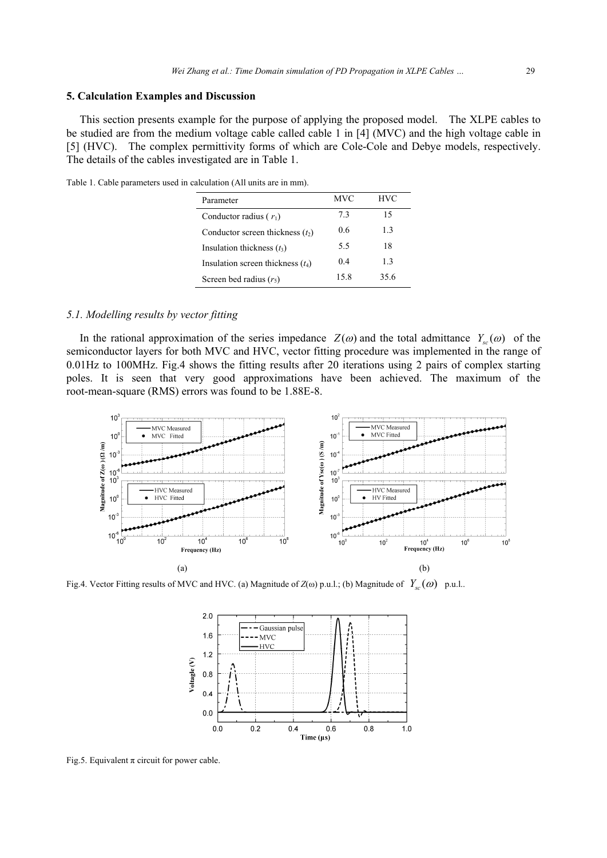## **5. Calculation Examples and Discussion**

This section presents example for the purpose of applying the proposed model. The XLPE cables to be studied are from the medium voltage cable called cable 1 in [4] (MVC) and the high voltage cable in [5] (HVC). The complex permittivity forms of which are Cole-Cole and Debye models, respectively. The details of the cables investigated are in Table 1.

Table 1. Cable parameters used in calculation (All units are in mm).

| Parameter                           | <b>MVC</b> | <b>HVC</b> |
|-------------------------------------|------------|------------|
| Conductor radius $(r_1)$            | 73         | 15         |
| Conductor screen thickness $(t_2)$  | 06         | 1.3        |
| Insulation thickness $(t_3)$        | 5.5        | 18         |
| Insulation screen thickness $(t_4)$ | 04         | 13         |
| Screen bed radius $(r_5)$           | 15.8       | 35.6       |

## *5.1. Modelling results by vector fitting*

In the rational approximation of the series impedance  $Z(\omega)$  and the total admittance  $Y_{sc}(\omega)$  of the semiconductor layers for both MVC and HVC, vector fitting procedure was implemented in the range of 0.01Hz to 100MHz. Fig.4 shows the fitting results after 20 iterations using 2 pairs of complex starting poles. It is seen that very good approximations have been achieved. The maximum of the root-mean-square (RMS) errors was found to be 1.88E-8.



Fig.4. Vector Fitting results of MVC and HVC. (a) Magnitude of  $Z(\omega)$  p.u.l.; (b) Magnitude of  $Y_{sc}(\omega)$  p.u.l..



Fig.5. Equivalent  $\pi$  circuit for power cable.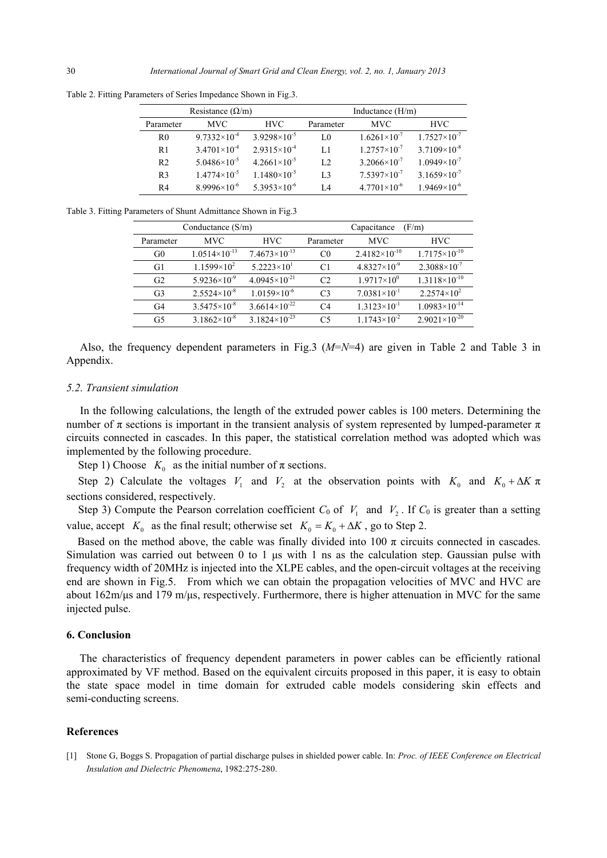| Resistance $(\Omega/m)$ |                         |                         | Inductance $(H/m)$ |                         |                       |
|-------------------------|-------------------------|-------------------------|--------------------|-------------------------|-----------------------|
| Parameter               | MVC.                    | HVC.                    | Parameter          | MVC.                    | HVC.                  |
| $_{\rm R0}$             | $9.7332\times10^{-4}$   | $3.9298 \times 10^{-5}$ | LO                 | $1.6261\times10^{-7}$   | $1.7527\times10^{-7}$ |
| R1                      | $3.4701\times10^{-4}$   | $2.9315\times10^{-4}$   | L1                 | $1.2757\times10^{-7}$   | $3.7109\times10^{-8}$ |
| R <sub>2</sub>          | $5.0486 \times 10^{-5}$ | $4.2661\times10^{-5}$   | L2                 | $3.2066 \times 10^{-7}$ | $1.0949\times10^{-7}$ |
| R <sub>3</sub>          | $1.4774\times10^{-5}$   | $1.1480\times10^{-5}$   | L <sub>3</sub>     | $7.5397\times10^{-7}$   | $3.1659\times10^{-7}$ |
| R4                      | $8.9996\times10^{-6}$   | $5.3953\times10^{-6}$   | L4                 | $4.7701\times10^{-6}$   | $1.9469\times10^{-6}$ |

Table 2. Fitting Parameters of Series Impedance Shown in Fig.3.

Table 3. Fitting Parameters of Shunt Admittance Shown in Fig.3

| Conductance $(S/m)$ |                        |                        | Capacitance<br>(F/m) |                        |                        |
|---------------------|------------------------|------------------------|----------------------|------------------------|------------------------|
| Parameter           | <b>MVC</b>             | <b>HVC</b>             | Parameter            | <b>MVC</b>             | <b>HVC</b>             |
| G <sub>0</sub>      | $1.0514\times10^{-13}$ | $7.4673\times10^{-13}$ | C <sub>0</sub>       | $2.4182\times10^{-10}$ | $1.7175\times10^{-10}$ |
| G1                  | $1.1599\times10^{2}$   | $5.2223\times10^{1}$   | C1                   | $4.8327\times10^{-9}$  | $2.3088\times10^{-7}$  |
| G <sub>2</sub>      | $5.9236\times10^{-9}$  | $4.0945\times10^{-21}$ | C2                   | $1.9717\times10^{0}$   | $1.3118\times10^{-10}$ |
| G <sub>3</sub>      | $2.5524\times10^{-8}$  | $1.0159\times10^{-6}$  | C <sub>3</sub>       | $7.0381\times10^{-1}$  | $2.2574\times10^{2}$   |
| G4                  | $3.5475\times10^{-8}$  | $3.6614\times10^{-22}$ | C <sub>4</sub>       | $1.3123\times10^{-1}$  | $1.0983\times10^{-14}$ |
| G5                  | $3.1862\times10^{-8}$  | $3.1824\times10^{-23}$ | C5                   | $1.1743\times10^{-2}$  | $2.9021\times10^{-20}$ |

Also, the frequency dependent parameters in Fig.3 (*M*=*N*=4) are given in Table 2 and Table 3 in Appendix.

#### *5.2. Transient simulation*

In the following calculations, the length of the extruded power cables is 100 meters. Determining the number of π sections is important in the transient analysis of system represented by lumped-parameter π circuits connected in cascades. In this paper, the statistical correlation method was adopted which was implemented by the following procedure.

Step 1) Choose  $K_0$  as the initial number of  $\pi$  sections.

Step 2) Calculate the voltages  $V_1$  and  $V_2$  at the observation points with  $K_0$  and  $K_0 + \Delta K \pi$ sections considered, respectively.

Step 3) Compute the Pearson correlation coefficient  $C_0$  of  $V_1$  and  $V_2$ . If  $C_0$  is greater than a setting value, accept  $K_0$  as the final result; otherwise set  $K_0 = K_0 + \Delta K$ , go to Step 2.

Based on the method above, the cable was finally divided into 100  $\pi$  circuits connected in cascades. Simulation was carried out between 0 to 1 μs with 1 ns as the calculation step. Gaussian pulse with frequency width of 20MHz is injected into the XLPE cables, and the open-circuit voltages at the receiving end are shown in Fig.5. From which we can obtain the propagation velocities of MVC and HVC are about 162m/μs and 179 m/μs, respectively. Furthermore, there is higher attenuation in MVC for the same injected pulse.

## **6. Conclusion**

The characteristics of frequency dependent parameters in power cables can be efficiently rational approximated by VF method. Based on the equivalent circuits proposed in this paper, it is easy to obtain the state space model in time domain for extruded cable models considering skin effects and semi-conducting screens.

#### **References**

[1] Stone G, Boggs S. Propagation of partial discharge pulses in shielded power cable. In: *Proc. of IEEE Conference on Electrical Insulation and Dielectric Phenomena*, 1982:275-280.